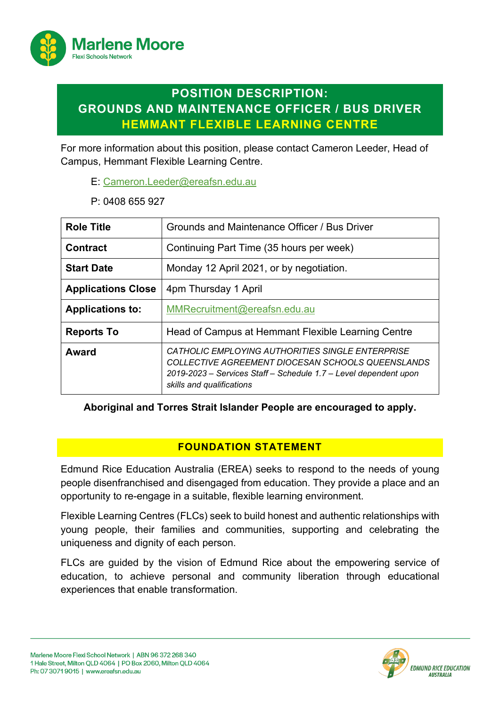

# **POSITION DESCRIPTION: GROUNDS AND MAINTENANCE OFFICER / BUS DRIVER HEMMANT FLEXIBLE LEARNING CENTRE**

For more information about this position, please contact Cameron Leeder, Head of Campus, Hemmant Flexible Learning Centre.

- E: Cameron.Leeder@ereafsn.edu.au
- P: 0408 655 927

| <b>Role Title</b>         | Grounds and Maintenance Officer / Bus Driver                                                                                                                                                           |
|---------------------------|--------------------------------------------------------------------------------------------------------------------------------------------------------------------------------------------------------|
| <b>Contract</b>           | Continuing Part Time (35 hours per week)                                                                                                                                                               |
| <b>Start Date</b>         | Monday 12 April 2021, or by negotiation.                                                                                                                                                               |
| <b>Applications Close</b> | 4pm Thursday 1 April                                                                                                                                                                                   |
| <b>Applications to:</b>   | MMRecruitment@ereafsn.edu.au                                                                                                                                                                           |
| <b>Reports To</b>         | Head of Campus at Hemmant Flexible Learning Centre                                                                                                                                                     |
| Award                     | CATHOLIC EMPLOYING AUTHORITIES SINGLE ENTERPRISE<br>COLLECTIVE AGREEMENT DIOCESAN SCHOOLS QUEENSLANDS<br>2019-2023 - Services Staff - Schedule 1.7 - Level dependent upon<br>skills and qualifications |

### **Aboriginal and Torres Strait Islander People are encouraged to apply.**

### **FOUNDATION STATEMENT**

Edmund Rice Education Australia (EREA) seeks to respond to the needs of young people disenfranchised and disengaged from education. They provide a place and an opportunity to re-engage in a suitable, flexible learning environment.

Flexible Learning Centres (FLCs) seek to build honest and authentic relationships with young people, their families and communities, supporting and celebrating the uniqueness and dignity of each person.

FLCs are guided by the vision of Edmund Rice about the empowering service of education, to achieve personal and community liberation through educational experiences that enable transformation.

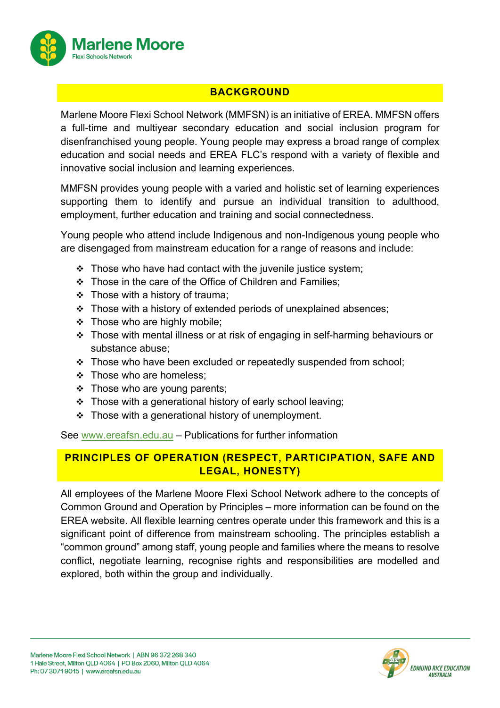

## **BACKGROUND**

Marlene Moore Flexi School Network (MMFSN) is an initiative of EREA. MMFSN offers a full-time and multiyear secondary education and social inclusion program for disenfranchised young people. Young people may express a broad range of complex education and social needs and EREA FLC's respond with a variety of flexible and innovative social inclusion and learning experiences.

MMFSN provides young people with a varied and holistic set of learning experiences supporting them to identify and pursue an individual transition to adulthood, employment, further education and training and social connectedness.

Young people who attend include Indigenous and non-Indigenous young people who are disengaged from mainstream education for a range of reasons and include:

- $\div$  Those who have had contact with the juvenile justice system;
- $\div$  Those in the care of the Office of Children and Families:
- $\div$  Those with a history of trauma;
- $\div$  Those with a history of extended periods of unexplained absences;
- $\div$  Those who are highly mobile;
- $\cdot$  Those with mental illness or at risk of engaging in self-harming behaviours or substance abuse;
- $\cdot$  Those who have been excluded or repeatedly suspended from school;
- $\div$  Those who are homeless;
- $\div$  Those who are young parents;
- $\cdot$  Those with a generational history of early school leaving;
- $\div$  Those with a generational history of unemployment.

See www.ereafsn.edu.au – Publications for further information

# **PRINCIPLES OF OPERATION (RESPECT, PARTICIPATION, SAFE AND LEGAL, HONESTY)**

All employees of the Marlene Moore Flexi School Network adhere to the concepts of Common Ground and Operation by Principles – more information can be found on the EREA website. All flexible learning centres operate under this framework and this is a significant point of difference from mainstream schooling. The principles establish a "common ground" among staff, young people and families where the means to resolve conflict, negotiate learning, recognise rights and responsibilities are modelled and explored, both within the group and individually.

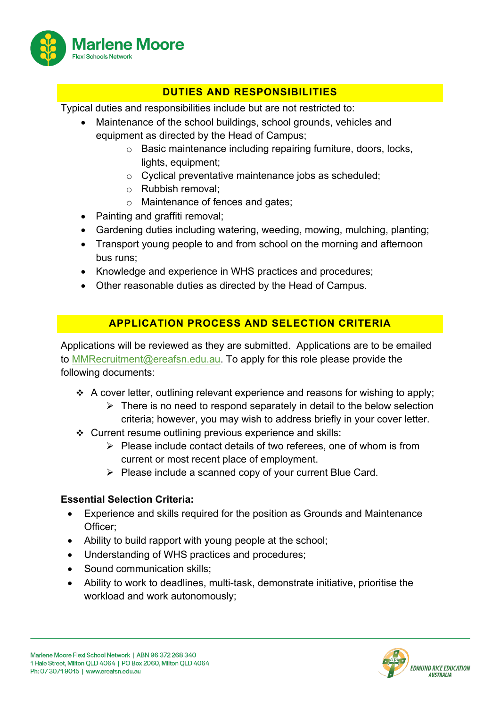

# **DUTIES AND RESPONSIBILITIES**

Typical duties and responsibilities include but are not restricted to:

- Maintenance of the school buildings, school grounds, vehicles and equipment as directed by the Head of Campus;
	- o Basic maintenance including repairing furniture, doors, locks, lights, equipment;
	- o Cyclical preventative maintenance jobs as scheduled;
	- o Rubbish removal;
	- o Maintenance of fences and gates;
- Painting and graffiti removal;
- Gardening duties including watering, weeding, mowing, mulching, planting;
- Transport young people to and from school on the morning and afternoon bus runs;
- Knowledge and experience in WHS practices and procedures;
- Other reasonable duties as directed by the Head of Campus.

### **APPLICATION PROCESS AND SELECTION CRITERIA**

Applications will be reviewed as they are submitted. Applications are to be emailed to MMRecruitment@ereafsn.edu.au. To apply for this role please provide the following documents:

- $\div$  A cover letter, outlining relevant experience and reasons for wishing to apply;
	- $\triangleright$  There is no need to respond separately in detail to the below selection criteria; however, you may wish to address briefly in your cover letter.
- $\div$  Current resume outlining previous experience and skills:
	- $\triangleright$  Please include contact details of two referees, one of whom is from current or most recent place of employment.
	- $\triangleright$  Please include a scanned copy of your current Blue Card.

### **Essential Selection Criteria:**

- Experience and skills required for the position as Grounds and Maintenance Officer;
- Ability to build rapport with young people at the school;
- Understanding of WHS practices and procedures;
- Sound communication skills:
- Ability to work to deadlines, multi-task, demonstrate initiative, prioritise the workload and work autonomously;